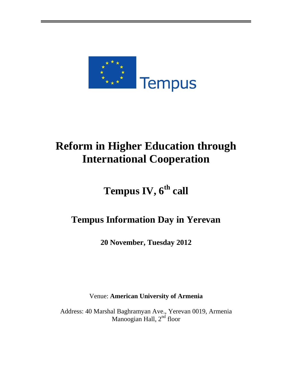

# **Reform in Higher Education through International Cooperation**

# **Tempus IV, 6th call**

# **Tempus Information Day in Yerevan**

**20 November, Tuesday 2012**

Venue: **American University of Armenia**

Address: 40 Marshal Baghramyan Ave., Yerevan 0019, Armenia Manoogian Hall,  $2<sup>nd</sup>$  floor